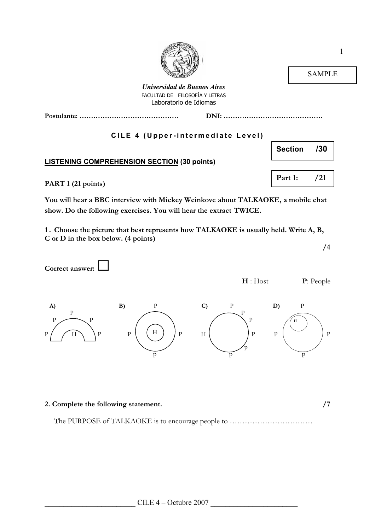



Universidad de Buenos Aires FACULTAD DE FILOSOFÍA Y LETRAS Laboratorio de Idiomas

Postulante: ……………………………………. DNI: …………………………………….

## CILE 4 (Upper-intermediate Level)

## LISTENING COMPREHENSION SECTION (30 points)

PART 1 (21 points)

You will hear a BBC interview with Mickey Weinkove about TALKAOKE, a mobile chat show. Do the following exercises. You will hear the extract TWICE.

1 . Choose the picture that best represents how TALKAOKE is usually held. Write A, B, C or D in the box below. (4 points)

/4

Correct answer: H : Host **P**: People A) B) P C) P D) P P P  $\bigcap$  P  $P \longrightarrow P$  /  $\wedge$  /  $P$  $P / H \setminus P$   $P \setminus (H)$   $P$   $H \setminus P$   $P \setminus P$  $\searrow$  P P P P P H H

## 2. Complete the following statement.  $/7$

The PURPOSE of TALKAOKE is to encourage people to ...............................



SAMPLE

Section /30

Part 1: /21